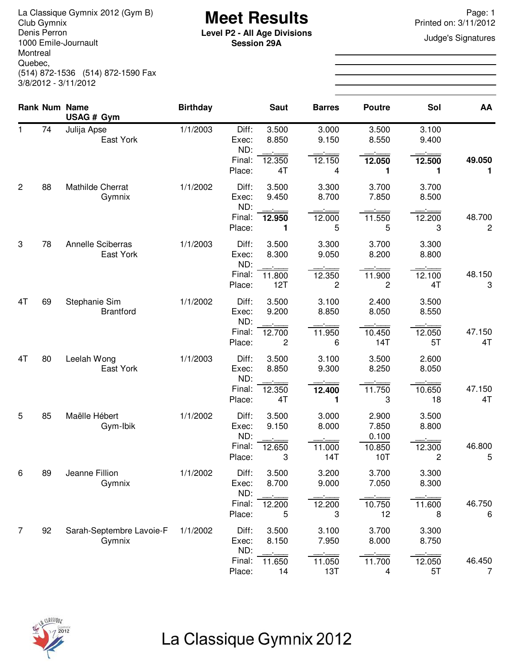**Meet Results** La Classique Gymnix 2012 (Gym B) Page: 1 Denis Perron 1000 Emile-Journault Montreal Quebec, (514) 872-1536 (514) 872-1590 Fax 3/8/2012 - 3/11/2012

**Level P2 - All Age Divisions** Judge's Signatures **Session 29A**

Printed on: 3/11/2012

|                |    | <b>Rank Num Name</b>                   | <b>Birthday</b> |                         | <b>Saut</b>    | <b>Barres</b>  | <b>Poutre</b>            | Sol            | AA                                |
|----------------|----|----------------------------------------|-----------------|-------------------------|----------------|----------------|--------------------------|----------------|-----------------------------------|
| $\mathbf{1}$   | 74 | USAG # Gym<br>Julija Apse<br>East York | 1/1/2003        | Diff:<br>Exec:<br>ND:   | 3.500<br>8.850 | 3.000<br>9.150 | 3.500<br>8.550           | 3.100<br>9.400 |                                   |
|                |    |                                        |                 | Final:<br>Place:        | 12.350<br>4T   | 12.150<br>4    | 12.050<br>1              | 12.500<br>1    | 49.050<br>1                       |
| $\overline{2}$ | 88 | Mathilde Cherrat<br>Gymnix             | 1/1/2002        | Diff:<br>Exec:<br>ND:   | 3.500<br>9.450 | 3.300<br>8.700 | 3.700<br>7.850           | 3.700<br>8.500 |                                   |
|                |    |                                        |                 | Final:<br>Place:        | 12.950<br>1    | 12.000<br>5    | 11.550<br>5              | 12.200<br>3    | 48.700<br>$\overline{\mathbf{c}}$ |
| 3              | 78 | <b>Annelle Sciberras</b><br>East York  | 1/1/2003        | Diff:<br>Exec:<br>ND:   | 3.500<br>8.300 | 3.300<br>9.050 | 3.700<br>8.200           | 3.300<br>8.800 |                                   |
|                |    |                                        |                 | Final:<br>Place:        | 11.800<br>12T  | 12.350<br>2    | 11.900<br>$\overline{c}$ | 12.100<br>4T   | 48.150<br>3                       |
| 4T             | 69 | Stephanie Sim<br><b>Brantford</b>      | 1/1/2002        | Diff:<br>Exec:<br>ND:   | 3.500<br>9.200 | 3.100<br>8.850 | 2.400<br>8.050           | 3.500<br>8.550 |                                   |
|                |    |                                        |                 | Final:<br>Place:        | 12.700<br>2    | 11.950<br>6    | 10.450<br>14T            | 12.050<br>5T   | 47.150<br>4T                      |
| 4T             | 80 | Leelah Wong<br>East York               | 1/1/2003        | Diff:<br>Exec:<br>ND:   | 3.500<br>8.850 | 3.100<br>9.300 | 3.500<br>8.250           | 2.600<br>8.050 |                                   |
|                |    |                                        |                 | Final:<br>Place:        | 12.350<br>4T   | 12.400<br>1    | 11.750<br>3              | 10.650<br>18   | 47.150<br>4T                      |
| 5              | 85 | Maëlle Hébert<br>Gym-Ibik              | 1/1/2002        | Diff:<br>Exec:<br>ND:   | 3.500<br>9.150 | 3.000<br>8.000 | 2.900<br>7.850<br>0.100  | 3.500<br>8.800 |                                   |
|                |    |                                        |                 | Final:<br>Place:        | 12.650<br>3    | 11.000<br>14T  | 10.850<br>10T            | 12.300<br>2    | 46.800<br>5                       |
| 6              | 89 | Jeanne Fillion<br>Gymnix               | 1/1/2002        | Diff:<br>Exec:          | 3.500<br>8.700 | 3.200<br>9.000 | 3.700<br>7.050           | 3.300<br>8.300 |                                   |
|                |    |                                        |                 | ND:<br>Final:<br>Place: | 12.200<br>5    | 12.200<br>3    | 10.750<br>12             | 11.600<br>8    | 46.750<br>6                       |
| $\overline{7}$ | 92 | Sarah-Septembre Lavoie-F<br>Gymnix     | 1/1/2002        | Diff:<br>Exec:          | 3.500<br>8.150 | 3.100<br>7.950 | 3.700<br>8.000           | 3.300<br>8.750 |                                   |
|                |    |                                        |                 | ND:<br>Final:<br>Place: | 11.650<br>14   | 11.050<br>13T  | 11.700<br>4              | 12.050<br>5T   | 46.450<br>7                       |

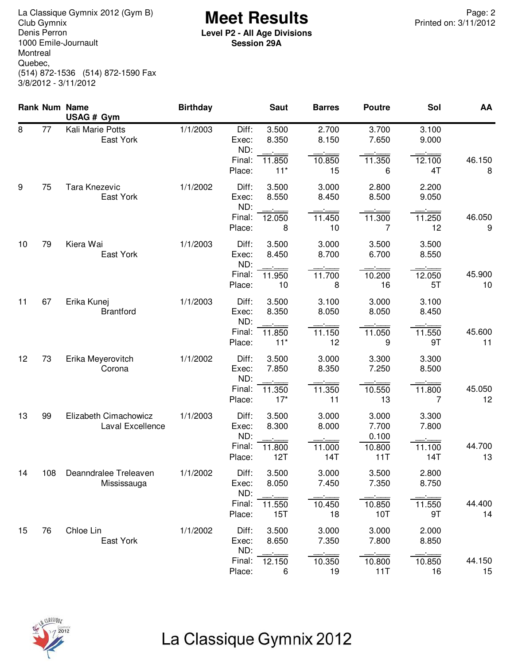**Meet Results** La Classique Gymnix 2012 (Gym B) Page: 2 Denis Perron 1000 Emile-Journault Montreal Quebec, (514) 872-1536 (514) 872-1590 Fax 3/8/2012 - 3/11/2012

**Level P2 - All Age Divisions Session 29A**

|    |     | Rank Num Name<br>USAG # Gym               | <b>Birthday</b> |                       | <b>Saut</b>     | <b>Barres</b>  | <b>Poutre</b>           | Sol            | AA           |
|----|-----|-------------------------------------------|-----------------|-----------------------|-----------------|----------------|-------------------------|----------------|--------------|
| 8  | 77  | Kali Marie Potts<br>East York             | 1/1/2003        | Diff:<br>Exec:<br>ND: | 3.500<br>8.350  | 2.700<br>8.150 | 3.700<br>7.650          | 3.100<br>9.000 |              |
|    |     |                                           |                 | Final:<br>Place:      | 11.850<br>$11*$ | 10.850<br>15   | 11.350<br>6             | 12.100<br>4T   | 46.150<br>8  |
| 9  | 75  | Tara Knezevic<br>East York                | 1/1/2002        | Diff:<br>Exec:<br>ND: | 3.500<br>8.550  | 3.000<br>8.450 | 2.800<br>8.500          | 2.200<br>9.050 |              |
|    |     |                                           |                 | Final:<br>Place:      | 12.050<br>8     | 11.450<br>10   | 11.300<br>7             | 11.250<br>12   | 46.050<br>9  |
| 10 | 79  | Kiera Wai<br>East York                    | 1/1/2003        | Diff:<br>Exec:<br>ND: | 3.500<br>8.450  | 3.000<br>8.700 | 3.500<br>6.700          | 3.500<br>8.550 |              |
|    |     |                                           |                 | Final:<br>Place:      | 11.950<br>10    | 11.700<br>8    | 10.200<br>16            | 12.050<br>5T   | 45.900<br>10 |
| 11 | 67  | Erika Kunej<br><b>Brantford</b>           | 1/1/2003        | Diff:<br>Exec:<br>ND: | 3.500<br>8.350  | 3.100<br>8.050 | 3.000<br>8.050          | 3.100<br>8.450 |              |
|    |     |                                           |                 | Final:<br>Place:      | 11.850<br>$11*$ | 11.150<br>12   | 11.050<br>9             | 11.550<br>9T   | 45.600<br>11 |
| 12 | 73  | Erika Meyerovitch<br>Corona               | 1/1/2002        | Diff:<br>Exec:<br>ND: | 3.500<br>7.850  | 3.000<br>8.350 | 3.300<br>7.250          | 3.300<br>8.500 |              |
|    |     |                                           |                 | Final:<br>Place:      | 11.350<br>$17*$ | 11.350<br>11   | 10.550<br>13            | 11.800<br>7    | 45.050<br>12 |
| 13 | 99  | Elizabeth Cimachowicz<br>Laval Excellence | 1/1/2003        | Diff:<br>Exec:<br>ND: | 3.500<br>8.300  | 3.000<br>8.000 | 3.000<br>7.700<br>0.100 | 3.300<br>7.800 |              |
|    |     |                                           |                 | Final:<br>Place:      | 11.800<br>12T   | 11.000<br>14T  | 10.800<br>11T           | 11.100<br>14T  | 44.700<br>13 |
| 14 | 108 | Deanndralee Treleaven<br>Mississauga      | 1/1/2002        | Diff:<br>Exec:<br>ND: | 3.500<br>8.050  | 3.000<br>7.450 | 3.500<br>7.350          | 2.800<br>8.750 |              |
|    |     |                                           |                 | Final:<br>Place:      | 11.550<br>15T   | 10.450<br>18   | $\sim$<br>10.850<br>10T | 11.550<br>9T   | 44.400<br>14 |
| 15 | 76  | Chloe Lin<br>East York                    | 1/1/2002        | Diff:<br>Exec:<br>ND: | 3.500<br>8.650  | 3.000<br>7.350 | 3.000<br>7.800          | 2.000<br>8.850 |              |
|    |     |                                           |                 | Final:<br>Place:      | 12.150<br>6     | 10.350<br>19   | 10.800<br>11T           | 10.850<br>16   | 44.150<br>15 |

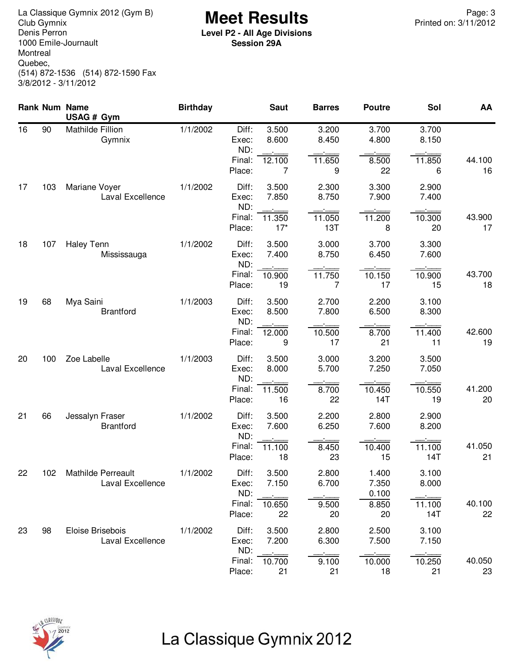**Meet Results** La Classique Gymnix 2012 (Gym B) Page: 3 Denis Perron 1000 Emile-Journault Montreal Quebec, (514) 872-1536 (514) 872-1590 Fax 3/8/2012 - 3/11/2012

**Level P2 - All Age Divisions Session 29A**

|    |     | <b>Rank Num Name</b><br>USAG # Gym     | <b>Birthday</b> |                       | <b>Saut</b>     | <b>Barres</b>            | <b>Poutre</b>           | Sol                      | AA           |
|----|-----|----------------------------------------|-----------------|-----------------------|-----------------|--------------------------|-------------------------|--------------------------|--------------|
| 16 | 90  | Mathilde Fillion<br>Gymnix             | 1/1/2002        | Diff:<br>Exec:<br>ND: | 3.500<br>8.600  | 3.200<br>8.450           | 3.700<br>4.800          | 3.700<br>8.150           |              |
|    |     |                                        |                 | Final:<br>Place:      | 12.100<br>7     | 11.650<br>9              | 8.500<br>22             | 11.850<br>6              | 44.100<br>16 |
| 17 | 103 | Mariane Voyer<br>Laval Excellence      | 1/1/2002        | Diff:<br>Exec:<br>ND: | 3.500<br>7.850  | 2.300<br>8.750           | 3.300<br>7.900          | 2.900<br>7.400           |              |
|    |     |                                        |                 | Final:<br>Place:      | 11.350<br>$17*$ | 11.050<br>13T            | 11.200<br>8             | 10.300<br>20             | 43.900<br>17 |
| 18 | 107 | <b>Haley Tenn</b><br>Mississauga       | 1/1/2002        | Diff:<br>Exec:<br>ND: | 3.500<br>7.400  | 3.000<br>8.750           | 3.700<br>6.450          | 3.300<br>7.600           |              |
|    |     |                                        |                 | Final:<br>Place:      | 10.900<br>19    | 11.750<br>7              | 10.150<br>17            | 10.900<br>15             | 43.700<br>18 |
| 19 | 68  | Mya Saini<br><b>Brantford</b>          | 1/1/2003        | Diff:<br>Exec:<br>ND: | 3.500<br>8.500  | 2.700<br>7.800           | 2.200<br>6.500          | 3.100<br>8.300           |              |
|    |     |                                        |                 | Final:<br>Place:      | 12.000<br>9     | 10.500<br>17             | 8.700<br>21             | 11.400<br>11             | 42.600<br>19 |
| 20 | 100 | Zoe Labelle<br>Laval Excellence        | 1/1/2003        | Diff:<br>Exec:<br>ND: | 3.500<br>8.000  | 3.000<br>5.700           | 3.200<br>7.250          | 3.500<br>7.050           |              |
|    |     |                                        |                 | Final:<br>Place:      | 11.500<br>16    | 8.700<br>22              | 10.450<br>14T           | 10.550<br>19             | 41.200<br>20 |
| 21 | 66  | Jessalyn Fraser<br><b>Brantford</b>    | 1/1/2002        | Diff:<br>Exec:<br>ND: | 3.500<br>7.600  | 2.200<br>6.250           | 2.800<br>7.600          | 2.900<br>8.200           |              |
|    |     |                                        |                 | Final:<br>Place:      | 11.100<br>18    | 8.450<br>23              | 10.400<br>15            | 11.100<br>14T            | 41.050<br>21 |
| 22 | 102 | Mathilde Perreault<br>Laval Excellence | 1/1/2002        | Diff:<br>Exec:<br>ND: | 3.500<br>7.150  | 2.800<br>6.700<br>$\sim$ | 1.400<br>7.350<br>0.100 | 3.100<br>8.000<br>$\sim$ |              |
|    |     |                                        |                 | Final:<br>Place:      | 10.650<br>22    | 9.500<br>20              | 8.850<br>20             | 11.100<br>14T            | 40.100<br>22 |
| 23 | 98  | Eloise Brisebois<br>Laval Excellence   | 1/1/2002        | Diff:<br>Exec:<br>ND: | 3.500<br>7.200  | 2.800<br>6.300           | 2.500<br>7.500          | 3.100<br>7.150           |              |
|    |     |                                        |                 | Final:<br>Place:      | 10.700<br>21    | 9.100<br>21              | 10.000<br>18            | 10.250<br>21             | 40.050<br>23 |